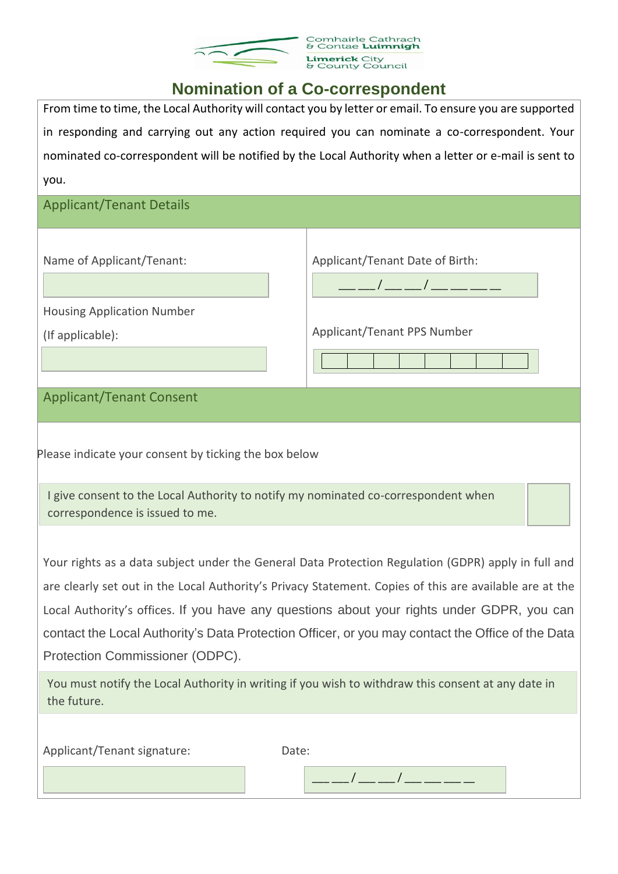

## Comhairle Cathrach<br>& Contae **Luimnigh Limerick** City<br>& County Council

## **Nomination of a Co-correspondent**

From time to time, the Local Authority will contact you by letter or email. To ensure you are supported in responding and carrying out any action required you can nominate a co-correspondent. Your nominated co-correspondent will be notified by the Local Authority when a letter or e-mail is sent to you.

| <b>Applicant/Tenant Details</b>                                                                                                                                                                                                                                                                                                                                                                                                                     |                                                                                                                                                                                                                                                                                                                                                        |
|-----------------------------------------------------------------------------------------------------------------------------------------------------------------------------------------------------------------------------------------------------------------------------------------------------------------------------------------------------------------------------------------------------------------------------------------------------|--------------------------------------------------------------------------------------------------------------------------------------------------------------------------------------------------------------------------------------------------------------------------------------------------------------------------------------------------------|
| Name of Applicant/Tenant:                                                                                                                                                                                                                                                                                                                                                                                                                           | Applicant/Tenant Date of Birth:<br>$\frac{1}{2}$ $\frac{1}{2}$ $\frac{1}{2}$ $\frac{1}{2}$ $\frac{1}{2}$ $\frac{1}{2}$ $\frac{1}{2}$ $\frac{1}{2}$ $\frac{1}{2}$ $\frac{1}{2}$ $\frac{1}{2}$ $\frac{1}{2}$ $\frac{1}{2}$ $\frac{1}{2}$ $\frac{1}{2}$ $\frac{1}{2}$ $\frac{1}{2}$ $\frac{1}{2}$ $\frac{1}{2}$ $\frac{1}{2}$ $\frac{1}{2}$ $\frac{1}{2}$ |
| <b>Housing Application Number</b>                                                                                                                                                                                                                                                                                                                                                                                                                   |                                                                                                                                                                                                                                                                                                                                                        |
| (If applicable):                                                                                                                                                                                                                                                                                                                                                                                                                                    | Applicant/Tenant PPS Number                                                                                                                                                                                                                                                                                                                            |
|                                                                                                                                                                                                                                                                                                                                                                                                                                                     |                                                                                                                                                                                                                                                                                                                                                        |
| <b>Applicant/Tenant Consent</b>                                                                                                                                                                                                                                                                                                                                                                                                                     |                                                                                                                                                                                                                                                                                                                                                        |
| Please indicate your consent by ticking the box below<br>I give consent to the Local Authority to notify my nominated co-correspondent when<br>correspondence is issued to me.                                                                                                                                                                                                                                                                      |                                                                                                                                                                                                                                                                                                                                                        |
| Your rights as a data subject under the General Data Protection Regulation (GDPR) apply in full and<br>are clearly set out in the Local Authority's Privacy Statement. Copies of this are available are at the<br>Local Authority's offices. If you have any questions about your rights under GDPR, you can<br>contact the Local Authority's Data Protection Officer, or you may contact the Office of the Data<br>Protection Commissioner (ODPC). |                                                                                                                                                                                                                                                                                                                                                        |
| You must notify the Local Authority in writing if you wish to withdraw this consent at any date in<br>the future.                                                                                                                                                                                                                                                                                                                                   |                                                                                                                                                                                                                                                                                                                                                        |
| Applicant/Tenant signature:<br>Date:                                                                                                                                                                                                                                                                                                                                                                                                                |                                                                                                                                                                                                                                                                                                                                                        |